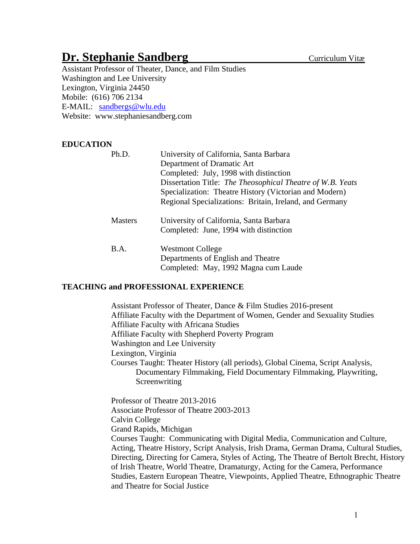# **Dr. Stephanie Sandberg Curriculum Vitæ**

Assistant Professor of Theater, Dance, and Film Studies Washington and Lee University Lexington, Virginia 24450 Mobile: (616) 706 2134 E-MAIL: [sandbergs@wlu.edu](mailto:sandbergs@wlu.edu) Website: www.stephaniesandberg.com

# **EDUCATION**

| Ph.D.          | University of California, Santa Barbara<br>Department of Dramatic Art<br>Completed: July, 1998 with distinction<br>Dissertation Title: The Theosophical Theatre of W.B. Yeats<br>Specialization: Theatre History (Victorian and Modern)<br>Regional Specializations: Britain, Ireland, and Germany |
|----------------|----------------------------------------------------------------------------------------------------------------------------------------------------------------------------------------------------------------------------------------------------------------------------------------------------|
| <b>Masters</b> | University of California, Santa Barbara<br>Completed: June, 1994 with distinction                                                                                                                                                                                                                  |
| B.A.           | <b>Westmont College</b><br>Departments of English and Theatre<br>Completed: May, 1992 Magna cum Laude                                                                                                                                                                                              |

## **TEACHING and PROFESSIONAL EXPERIENCE**

Assistant Professor of Theater, Dance & Film Studies 2016-present Affiliate Faculty with the Department of Women, Gender and Sexuality Studies Affiliate Faculty with Africana Studies Affiliate Faculty with Shepherd Poverty Program Washington and Lee University Lexington, Virginia Courses Taught: Theater History (all periods), Global Cinema, Script Analysis, Documentary Filmmaking, Field Documentary Filmmaking, Playwriting, **Screenwriting** 

Professor of Theatre 2013-2016 Associate Professor of Theatre 2003-2013 Calvin College Grand Rapids, Michigan Courses Taught: Communicating with Digital Media, Communication and Culture, Acting, Theatre History, Script Analysis, Irish Drama, German Drama, Cultural Studies, Directing, Directing for Camera, Styles of Acting, The Theatre of Bertolt Brecht, History of Irish Theatre, World Theatre, Dramaturgy, Acting for the Camera, Performance Studies, Eastern European Theatre, Viewpoints, Applied Theatre, Ethnographic Theatre and Theatre for Social Justice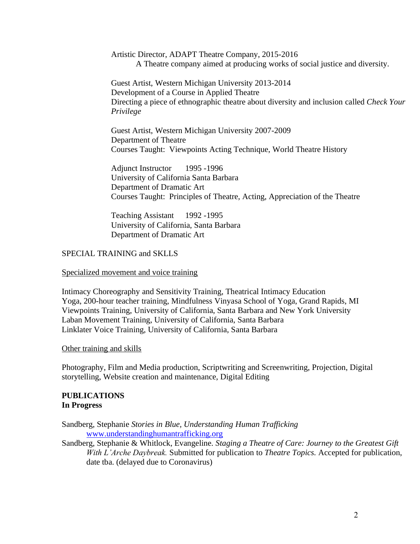Artistic Director, ADAPT Theatre Company, 2015-2016 A Theatre company aimed at producing works of social justice and diversity.

Guest Artist, Western Michigan University 2013-2014 Development of a Course in Applied Theatre Directing a piece of ethnographic theatre about diversity and inclusion called *Check Your Privilege*

Guest Artist, Western Michigan University 2007-2009 Department of Theatre Courses Taught: Viewpoints Acting Technique, World Theatre History

Adjunct Instructor 1995 -1996 University of California Santa Barbara Department of Dramatic Art Courses Taught: Principles of Theatre, Acting, Appreciation of the Theatre

Teaching Assistant 1992 -1995 University of California, Santa Barbara Department of Dramatic Art

# SPECIAL TRAINING and SKLLS

#### Specialized movement and voice training

Intimacy Choreography and Sensitivity Training, Theatrical Intimacy Education Yoga, 200-hour teacher training, Mindfulness Vinyasa School of Yoga, Grand Rapids, MI Viewpoints Training, University of California, Santa Barbara and New York University Laban Movement Training, University of California, Santa Barbara Linklater Voice Training, University of California, Santa Barbara

Other training and skills

Photography, Film and Media production, Scriptwriting and Screenwriting, Projection, Digital storytelling, Website creation and maintenance, Digital Editing

## **PUBLICATIONS In Progress**

Sandberg, Stephanie *Stories in Blue, Understanding Human Trafficking*  [www.understandinghumantrafficking.org](http://www.understandinghumantrafficking.org/)

Sandberg, Stephanie & Whitlock, Evangeline. *Staging a Theatre of Care: Journey to the Greatest Gift With L'Arche Daybreak.* Submitted for publication to *Theatre Topics.* Accepted for publication, date tba. (delayed due to Coronavirus)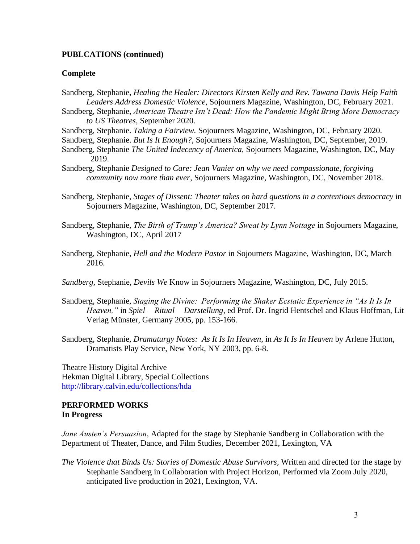## **PUBLCATIONS (continued)**

#### **Complete**

- Sandberg, Stephanie, *Healing the Healer: Directors Kirsten Kelly and Rev. Tawana Davis Help Faith Leaders Address Domestic Violence*, Sojourners Magazine, Washington, DC, February 2021.
- Sandberg, Stephanie, *American Theatre Isn't Dead: How the Pandemic Might Bring More Democracy to US Theatres*, September 2020.
- Sandberg, Stephanie. *Taking a Fairview.* Sojourners Magazine, Washington, DC, February 2020.
- Sandberg, Stephanie. *But Is It Enough?,* Sojourners Magazine, Washington, DC, September, 2019.
- Sandberg, Stephanie *The United Indecency of America,* Sojourners Magazine, Washington, DC, May 2019.
- Sandberg, Stephanie *Designed to Care: Jean Vanier on why we need compassionate, forgiving community now more than ever*, Sojourners Magazine, Washington, DC, November 2018.
- Sandberg, Stephanie, *Stages of Dissent: Theater takes on hard questions in a contentious democracy* in Sojourners Magazine, Washington, DC, September 2017.
- Sandberg, Stephanie, *The Birth of Trump's America? Sweat by Lynn Nottage* in Sojourners Magazine, Washington, DC, April 2017
- Sandberg, Stephanie, *Hell and the Modern Pastor* in Sojourners Magazine, Washington, DC, March 2016.
- *Sandberg*, Stephanie, *Devils We* Know in Sojourners Magazine, Washington, DC, July 2015.
- Sandberg, Stephanie, *Staging the Divine: Performing the Shaker Ecstatic Experience in "As It Is In Heaven,"* in *Spiel —Ritual —Darstellung*, ed Prof. Dr. Ingrid Hentschel and Klaus Hoffman, Lit Verlag Münster, Germany 2005, pp. 153-166.
- Sandberg, Stephanie, *Dramaturgy Notes: As It Is In Heaven*, in *As It Is In Heaven* by Arlene Hutton, Dramatists Play Service, New York, NY 2003, pp. 6-8.

Theatre History Digital Archive Hekman Digital Library, Special Collections <http://library.calvin.edu/collections/hda>

#### **PERFORMED WORKS In Progress**

*Jane Austen's Persuasion*, Adapted for the stage by Stephanie Sandberg in Collaboration with the Department of Theater, Dance, and Film Studies, December 2021, Lexington, VA

*The Violence that Binds Us: Stories of Domestic Abuse Survivors,* Written and directed for the stage by Stephanie Sandberg in Collaboration with Project Horizon, Performed via Zoom July 2020, anticipated live production in 2021, Lexington, VA.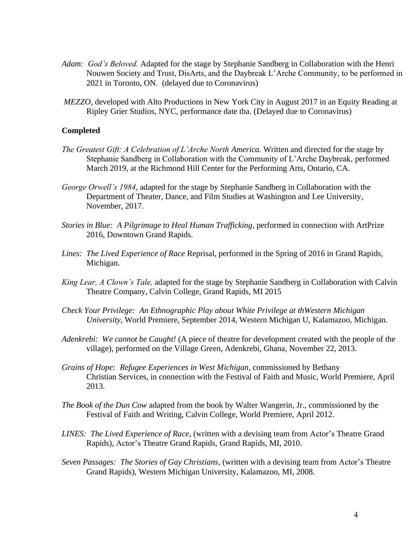- *Adam: God's Beloved.* Adapted for the stage by Stephanie Sandberg in Collaboration with the Henri Nouwen Society and Trust, DisArts, and the Daybreak L'Arche Community, to be performed in 2021 in Toronto, ON. (delayed due to Coronavirus)
- *MEZZO*, developed with Alto Productions in New York City in August 2017 in an Equity Reading at Ripley Grier Studios, NYC, performance date tba. (Delayed due to Coronavirus)

#### **Completed**

- *The Greatest Gift: A Celebration of L'Arche North America.* Written and directed for the stage by Stephanie Sandberg in Collaboration with the Community of L'Arche Daybreak, performed March 2019, at the Richmond Hill Center for the Performing Arts, Ontario, CA.
- *George Orwell's 1984*, adapted for the stage by Stephanie Sandberg in Collaboration with the Department of Theater, Dance, and Film Studies at Washington and Lee University, November, 2017.
- *Stories in Blue: A Pilgrimage to Heal Human Trafficking*, performed in connection with ArtPrize 2016, Downtown Grand Rapids.
- *Lines: The Lived Experience of Race* Reprisal, performed in the Spring of 2016 in Grand Rapids, Michigan.
- *King Lear, A Clown's Tale,* adapted for the stage by Stephanie Sandberg in Collaboration with Calvin Theatre Company, Calvin College, Grand Rapids, MI 2015
- *Check Your Privilege: An Ethnographic Play about White Privilege at thWestern Michigan University*, World Premiere, September 2014, Western Michigan U, Kalamazoo, Michigan.
- *Adenkrebi: We cannot be Caught!* (A piece of theatre for development created with the people of the village), performed on the Village Green, Adenkrebi, Ghana, November 22, 2013.
- *Grains of Hope: Refugee Experiences in West Michigan*, commissioned by Bethany Christian Services, in connection with the Festival of Faith and Music, World Premiere, April 2013.
- *The Book of the Dun Cow* adapted from the book by Walter Wangerin, Jr., commissioned by the Festival of Faith and Writing, Calvin College, World Premiere, April 2012.
- *LINES: The Lived Experience of Race,* (written with a devising team from Actor's Theatre Grand Rapids), Actor's Theatre Grand Rapids, Grand Rapids, MI, 2010.
- *Seven Passages: The Stories of Gay Christians*, (written with a devising team from Actor's Theatre Grand Rapids), Western Michigan University, Kalamazoo, MI, 2008.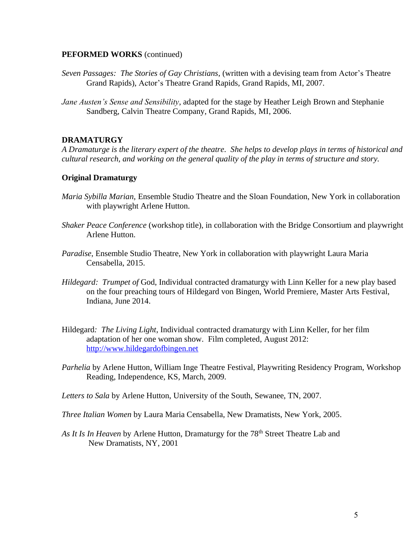## **PEFORMED WORKS** (continued)

- *Seven Passages: The Stories of Gay Christians*, (written with a devising team from Actor's Theatre Grand Rapids), Actor's Theatre Grand Rapids, Grand Rapids, MI, 2007.
- *Jane Austen's Sense and Sensibility*, adapted for the stage by Heather Leigh Brown and Stephanie Sandberg, Calvin Theatre Company, Grand Rapids, MI, 2006.

# **DRAMATURGY**

*A Dramaturge is the literary expert of the theatre. She helps to develop plays in terms of historical and cultural research, and working on the general quality of the play in terms of structure and story.*

# **Original Dramaturgy**

- *Maria Sybilla Marian*, Ensemble Studio Theatre and the Sloan Foundation, New York in collaboration with playwright Arlene Hutton.
- *Shaker Peace Conference* (workshop title), in collaboration with the Bridge Consortium and playwright Arlene Hutton.
- *Paradise*, Ensemble Studio Theatre, New York in collaboration with playwright Laura Maria Censabella, 2015.
- *Hildegard: Trumpet of* God, Individual contracted dramaturgy with Linn Keller for a new play based on the four preaching tours of Hildegard von Bingen, World Premiere, Master Arts Festival, Indiana, June 2014.
- Hildegard*: The Living Light*, Individual contracted dramaturgy with Linn Keller, for her film adaptation of her one woman show. Film completed, August 2012: [http://www.hildegardofbingen.net](http://www.hildegardofbingen.net/)
- *Parhelia* by Arlene Hutton*,* William Inge Theatre Festival, Playwriting Residency Program, Workshop Reading, Independence, KS, March, 2009.

*Letters to Sala* by Arlene Hutton, University of the South, Sewanee, TN, 2007.

- *Three Italian Women* by Laura Maria Censabella, New Dramatists, New York, 2005.
- As It Is In Heaven by Arlene Hutton, Dramaturgy for the 78<sup>th</sup> Street Theatre Lab and New Dramatists, NY, 2001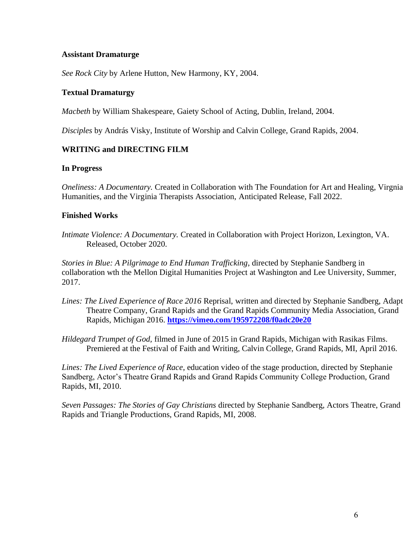# **Assistant Dramaturge**

*See Rock City* by Arlene Hutton, New Harmony, KY, 2004.

# **Textual Dramaturgy**

*Macbeth* by William Shakespeare, Gaiety School of Acting, Dublin, Ireland, 2004.

*Disciples* by András Visky, Institute of Worship and Calvin College, Grand Rapids, 2004.

# **WRITING and DIRECTING FILM**

## **In Progress**

*Oneliness: A Documentary.* Created in Collaboration with The Foundation for Art and Healing, Virgnia Humanities, and the Virginia Therapists Association, Anticipated Release, Fall 2022.

# **Finished Works**

*Intimate Violence: A Documentary.* Created in Collaboration with Project Horizon, Lexington, VA. Released, October 2020.

*Stories in Blue: A Pilgrimage to End Human Trafficking*, directed by Stephanie Sandberg in collaboration wth the Mellon Digital Humanities Project at Washington and Lee University, Summer, 2017.

- *Lines: The Lived Experience of Race 2016* Reprisal, written and directed by Stephanie Sandberg, Adapt Theatre Company, Grand Rapids and the Grand Rapids Community Media Association, Grand Rapids, Michigan 2016. **<https://vimeo.com/195972208/f0adc20e20>**
- *Hildegard Trumpet of God,* filmed in June of 2015 in Grand Rapids, Michigan with Rasikas Films. Premiered at the Festival of Faith and Writing, Calvin College, Grand Rapids, MI, April 2016.

*Lines: The Lived Experience of Race*, education video of the stage production, directed by Stephanie Sandberg, Actor's Theatre Grand Rapids and Grand Rapids Community College Production, Grand Rapids, MI, 2010.

*Seven Passages: The Stories of Gay Christians* directed by Stephanie Sandberg, Actors Theatre, Grand Rapids and Triangle Productions, Grand Rapids, MI, 2008.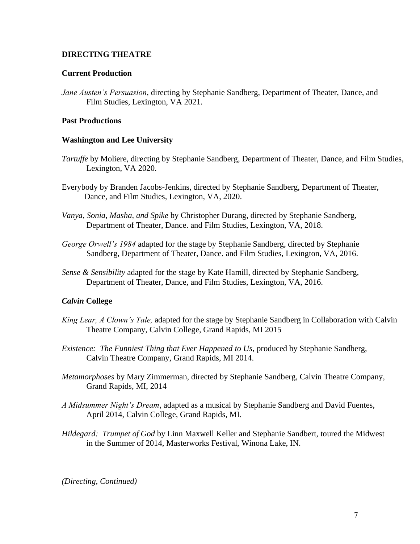# **DIRECTING THEATRE**

# **Current Production**

*Jane Austen's Persuasion*, directing by Stephanie Sandberg, Department of Theater, Dance, and Film Studies, Lexington, VA 2021.

# **Past Productions**

## **Washington and Lee University**

- *Tartuffe* by Moliere, directing by Stephanie Sandberg, Department of Theater, Dance, and Film Studies, Lexington, VA 2020.
- Everybody by Branden Jacobs-Jenkins, directed by Stephanie Sandberg, Department of Theater, Dance, and Film Studies, Lexington, VA, 2020.
- *Vanya, Sonia, Masha, and Spike* by Christopher Durang, directed by Stephanie Sandberg, Department of Theater, Dance. and Film Studies, Lexington, VA, 2018.
- *George Orwell's 1984* adapted for the stage by Stephanie Sandberg, directed by Stephanie Sandberg, Department of Theater, Dance. and Film Studies, Lexington, VA, 2016.
- *Sense & Sensibility* adapted for the stage by Kate Hamill, directed by Stephanie Sandberg, Department of Theater, Dance, and Film Studies, Lexington, VA, 2016.

# *Calvin* **College**

- *King Lear, A Clown's Tale,* adapted for the stage by Stephanie Sandberg in Collaboration with Calvin Theatre Company, Calvin College, Grand Rapids, MI 2015
- *Existence: The Funniest Thing that Ever Happened to Us*, produced by Stephanie Sandberg, Calvin Theatre Company, Grand Rapids, MI 2014.
- *Metamorphoses* by Mary Zimmerman, directed by Stephanie Sandberg, Calvin Theatre Company, Grand Rapids, MI, 2014
- *A Midsummer Night's Dream*, adapted as a musical by Stephanie Sandberg and David Fuentes, April 2014, Calvin College, Grand Rapids, MI.
- *Hildegard: Trumpet of God* by Linn Maxwell Keller and Stephanie Sandbert, toured the Midwest in the Summer of 2014, Masterworks Festival, Winona Lake, IN.

*(Directing, Continued)*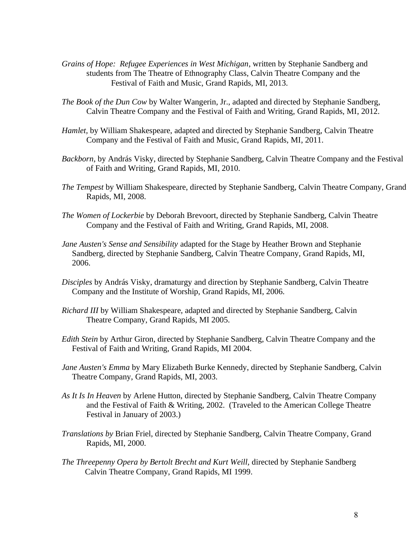- *Grains of Hope: Refugee Experiences in West Michigan*, written by Stephanie Sandberg and students from The Theatre of Ethnography Class, Calvin Theatre Company and the Festival of Faith and Music, Grand Rapids, MI, 2013.
- *The Book of the Dun Cow* by Walter Wangerin, Jr., adapted and directed by Stephanie Sandberg, Calvin Theatre Company and the Festival of Faith and Writing, Grand Rapids, MI, 2012.
- *Hamlet,* by William Shakespeare, adapted and directed by Stephanie Sandberg, Calvin Theatre Company and the Festival of Faith and Music, Grand Rapids, MI, 2011.
- *Backborn*, by András Visky, directed by Stephanie Sandberg, Calvin Theatre Company and the Festival of Faith and Writing, Grand Rapids, MI, 2010.
- *The Tempest* by William Shakespeare, directed by Stephanie Sandberg, Calvin Theatre Company, Grand Rapids, MI, 2008.
- *The Women of Lockerbie* by Deborah Brevoort, directed by Stephanie Sandberg, Calvin Theatre Company and the Festival of Faith and Writing, Grand Rapids, MI, 2008.
- *Jane Austen's Sense and Sensibility* adapted for the Stage by Heather Brown and Stephanie Sandberg, directed by Stephanie Sandberg, Calvin Theatre Company, Grand Rapids, MI, 2006.
- *Disciples* by András Visky, dramaturgy and direction by Stephanie Sandberg, Calvin Theatre Company and the Institute of Worship, Grand Rapids, MI, 2006.
- *Richard III* by William Shakespeare, adapted and directed by Stephanie Sandberg, Calvin Theatre Company, Grand Rapids, MI 2005.
- *Edith Stein* by Arthur Giron, directed by Stephanie Sandberg, Calvin Theatre Company and the Festival of Faith and Writing, Grand Rapids, MI 2004.
- *Jane Austen's Emma* by Mary Elizabeth Burke Kennedy, directed by Stephanie Sandberg, Calvin Theatre Company, Grand Rapids, MI, 2003.
- *As It Is In Heaven* by Arlene Hutton, directed by Stephanie Sandberg, Calvin Theatre Company and the Festival of Faith & Writing, 2002. (Traveled to the American College Theatre Festival in January of 2003.)
- *Translations by* Brian Friel, directed by Stephanie Sandberg, Calvin Theatre Company, Grand Rapids, MI, 2000.
- *The Threepenny Opera by Bertolt Brecht and Kurt Weill,* directed by Stephanie Sandberg Calvin Theatre Company, Grand Rapids, MI 1999.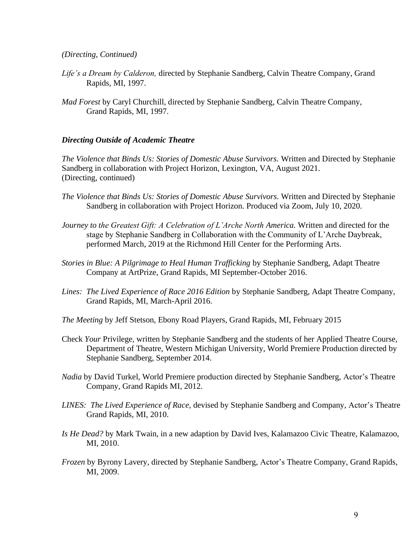#### *(Directing, Continued)*

- *Life's a Dream by Calderon,* directed by Stephanie Sandberg, Calvin Theatre Company, Grand Rapids, MI, 1997.
- *Mad Forest* by Caryl Churchill*,* directed by Stephanie Sandberg, Calvin Theatre Company, Grand Rapids, MI, 1997.

#### *Directing Outside of Academic Theatre*

*The Violence that Binds Us: Stories of Domestic Abuse Survivors.* Written and Directed by Stephanie Sandberg in collaboration with Project Horizon, Lexington, VA, August 2021. (Directing, continued)

- *The Violence that Binds Us: Stories of Domestic Abuse Survivors.* Written and Directed by Stephanie Sandberg in collaboration with Project Horizon. Produced via Zoom, July 10, 2020.
- *Journey to the Greatest Gift: A Celebration of L'Arche North America.* Written and directed for the stage by Stephanie Sandberg in Collaboration with the Community of L'Arche Daybreak, performed March, 2019 at the Richmond Hill Center for the Performing Arts.
- *Stories in Blue: A Pilgrimage to Heal Human Trafficking* by Stephanie Sandberg, Adapt Theatre Company at ArtPrize, Grand Rapids, MI September-October 2016.
- *Lines: The Lived Experience of Race 2016 Edition* by Stephanie Sandberg, Adapt Theatre Company, Grand Rapids, MI, March-April 2016.
- *The Meeting* by Jeff Stetson, Ebony Road Players, Grand Rapids, MI, February 2015
- Check *Your* Privilege, written by Stephanie Sandberg and the students of her Applied Theatre Course, Department of Theatre, Western Michigan University, World Premiere Production directed by Stephanie Sandberg, September 2014.
- *Nadia* by David Turkel, World Premiere production directed by Stephanie Sandberg, Actor's Theatre Company, Grand Rapids MI, 2012.
- *LINES: The Lived Experience of Race,* devised by Stephanie Sandberg and Company, Actor's Theatre Grand Rapids, MI, 2010.
- *Is He Dead?* by Mark Twain, in a new adaption by David Ives, Kalamazoo Civic Theatre, Kalamazoo, MI, 2010.
- *Frozen* by Byrony Lavery, directed by Stephanie Sandberg, Actor's Theatre Company, Grand Rapids, MI, 2009.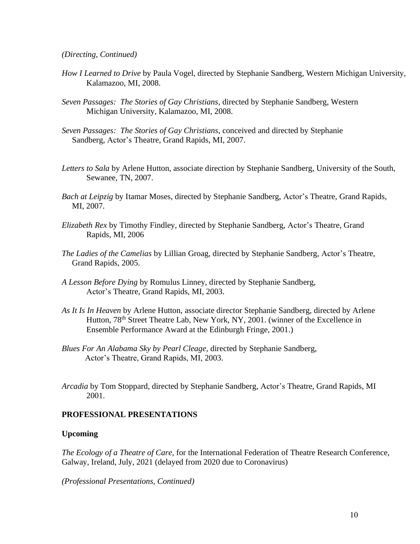*(Directing, Continued)*

- *How I Learned to Drive* by Paula Vogel, directed by Stephanie Sandberg, Western Michigan University, Kalamazoo, MI, 2008.
- *Seven Passages: The Stories of Gay Christians*, directed by Stephanie Sandberg, Western Michigan University, Kalamazoo, MI, 2008.
- *Seven Passages: The Stories of Gay Christians*, conceived and directed by Stephanie Sandberg, Actor's Theatre, Grand Rapids, MI, 2007.
- *Letters to Sala* by Arlene Hutton, associate direction by Stephanie Sandberg, University of the South, Sewanee, TN, 2007.
- *Bach at Leipzig* by Itamar Moses, directed by Stephanie Sandberg, Actor's Theatre, Grand Rapids, MI, 2007.
- *Elizabeth Rex* by Timothy Findley, directed by Stephanie Sandberg, Actor's Theatre, Grand Rapids, MI, 2006
- *The Ladies of the Camelias* by Lillian Groag, directed by Stephanie Sandberg, Actor's Theatre, Grand Rapids, 2005.
- *A Lesson Before Dying* by Romulus Linney, directed by Stephanie Sandberg, Actor's Theatre, Grand Rapids, MI, 2003.
- *As It Is In Heaven* by Arlene Hutton, associate director Stephanie Sandberg, directed by Arlene Hutton, 78<sup>th</sup> Street Theatre Lab, New York, NY, 2001. (winner of the Excellence in Ensemble Performance Award at the Edinburgh Fringe, 2001.)
- *Blues For An Alabama Sky by Pearl Cleage,* directed by Stephanie Sandberg, Actor's Theatre, Grand Rapids, MI, 2003.
- *Arcadia* by Tom Stoppard*,* directed by Stephanie Sandberg, Actor's Theatre, Grand Rapids, MI 2001.

#### **PROFESSIONAL PRESENTATIONS**

#### **Upcoming**

*The Ecology of a Theatre of Care,* for the International Federation of Theatre Research Conference, Galway, Ireland, July, 2021 (delayed from 2020 due to Coronavirus)

*(Professional Presentations, Continued)*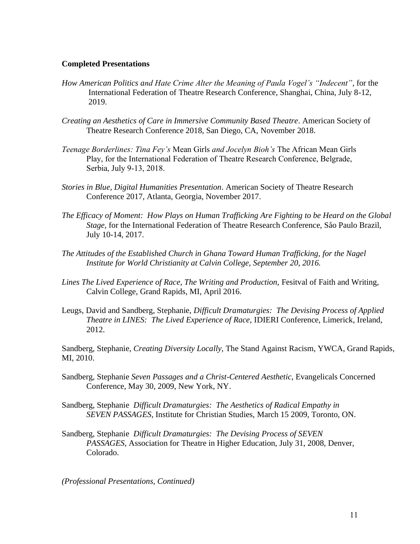## **Completed Presentations**

- *How American Politics and Hate Crime Alter the Meaning of Paula Vogel's "Indecent",* for the International Federation of Theatre Research Conference, Shanghai, China, July 8-12, 2019.
- *Creating an Aesthetics of Care in Immersive Community Based Theatre*. American Society of Theatre Research Conference 2018, San Diego, CA, November 2018.
- *Teenage Borderlines: Tina Fey's* Mean Girls *and Jocelyn Bioh's* The African Mean Girls Play, for the International Federation of Theatre Research Conference, Belgrade, Serbia, July 9-13, 2018.
- *Stories in Blue, Digital Humanities Presentation*. American Society of Theatre Research Conference 2017, Atlanta, Georgia, November 2017.
- *The Efficacy of Moment: How Plays on Human Trafficking Are Fighting to be Heard on the Global Stage,* for the International Federation of Theatre Research Conference, Såo Paulo Brazil, July 10-14, 2017.
- *The Attitudes of the Established Church in Ghana Toward Human Trafficking, for the Nagel Institute for World Christianity at Calvin College, September 20, 2016.*
- Lines The Lived Experience of Race, The Writing and Production, Fesitval of Faith and Writing, Calvin College, Grand Rapids, MI, April 2016.
- Leugs, David and Sandberg, Stephanie, *Difficult Dramaturgies: The Devising Process of Applied Theatre in LINES: The Lived Experience of Race*, IDIERI Conference, Limerick, Ireland, 2012.

Sandberg, Stephanie, *Creating Diversity Locally*, The Stand Against Racism, YWCA, Grand Rapids, MI, 2010.

- Sandberg, Stephanie *Seven Passages and a Christ-Centered Aesthetic*, Evangelicals Concerned Conference, May 30, 2009, New York, NY.
- Sandberg, Stephanie *Difficult Dramaturgies: The Aesthetics of Radical Empathy in SEVEN PASSAGES*, Institute for Christian Studies, March 15 2009, Toronto, ON.
- Sandberg, Stephanie *Difficult Dramaturgies: The Devising Process of SEVEN PASSAGES*, Association for Theatre in Higher Education, July 31, 2008, Denver, Colorado.

*(Professional Presentations, Continued)*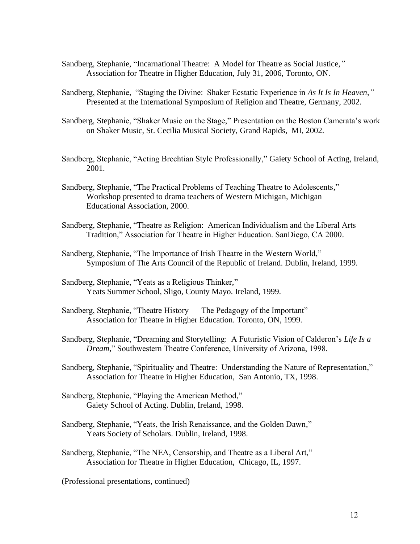- Sandberg, Stephanie, "Incarnational Theatre: A Model for Theatre as Social Justice,*"* Association for Theatre in Higher Education, July 31, 2006, Toronto, ON.
- Sandberg, Stephanie, "Staging the Divine: Shaker Ecstatic Experience in *As It Is In Heaven,"* Presented at the International Symposium of Religion and Theatre, Germany, 2002.
- Sandberg, Stephanie, "Shaker Music on the Stage," Presentation on the Boston Camerata's work on Shaker Music, St. Cecilia Musical Society, Grand Rapids, MI, 2002.
- Sandberg, Stephanie, "Acting Brechtian Style Professionally," Gaiety School of Acting, Ireland, 2001.
- Sandberg, Stephanie, "The Practical Problems of Teaching Theatre to Adolescents," Workshop presented to drama teachers of Western Michigan, Michigan Educational Association, 2000.
- Sandberg, Stephanie, "Theatre as Religion: American Individualism and the Liberal Arts Tradition," Association for Theatre in Higher Education. SanDiego, CA 2000.
- Sandberg, Stephanie, "The Importance of Irish Theatre in the Western World," Symposium of The Arts Council of the Republic of Ireland. Dublin, Ireland, 1999.
- Sandberg, Stephanie, "Yeats as a Religious Thinker," Yeats Summer School, Sligo, County Mayo. Ireland, 1999.
- Sandberg, Stephanie, "Theatre History The Pedagogy of the Important" Association for Theatre in Higher Education. Toronto, ON, 1999.
- Sandberg, Stephanie, "Dreaming and Storytelling: A Futuristic Vision of Calderon's *Life Is a Dream,*" Southwestern Theatre Conference, University of Arizona, 1998.
- Sandberg, Stephanie, "Spirituality and Theatre: Understanding the Nature of Representation," Association for Theatre in Higher Education, San Antonio, TX, 1998.
- Sandberg, Stephanie, "Playing the American Method," Gaiety School of Acting. Dublin, Ireland, 1998.
- Sandberg, Stephanie, "Yeats, the Irish Renaissance, and the Golden Dawn," Yeats Society of Scholars. Dublin, Ireland, 1998.
- Sandberg, Stephanie, "The NEA, Censorship, and Theatre as a Liberal Art," Association for Theatre in Higher Education, Chicago, IL, 1997.

(Professional presentations, continued)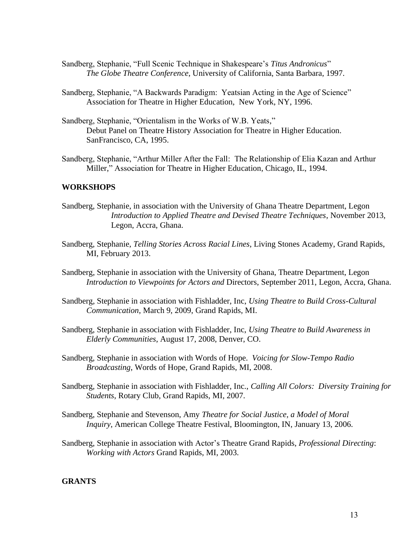- Sandberg, Stephanie, "Full Scenic Technique in Shakespeare's *Titus Andronicus*" *The Globe Theatre Conference*, University of California, Santa Barbara, 1997.
- Sandberg, Stephanie, "A Backwards Paradigm: Yeatsian Acting in the Age of Science" Association for Theatre in Higher Education, New York, NY, 1996.
- Sandberg, Stephanie, "Orientalism in the Works of W.B. Yeats," Debut Panel on Theatre History Association for Theatre in Higher Education. SanFrancisco, CA, 1995.
- Sandberg, Stephanie, "Arthur Miller After the Fall: The Relationship of Elia Kazan and Arthur Miller," Association for Theatre in Higher Education, Chicago, IL, 1994.

## **WORKSHOPS**

- Sandberg, Stephanie, in association with the University of Ghana Theatre Department, Legon *Introduction to Applied Theatre and Devised Theatre Techniques*, November 2013, Legon, Accra, Ghana.
- Sandberg, Stephanie, *Telling Stories Across Racial Lines*, Living Stones Academy, Grand Rapids, MI, February 2013.
- Sandberg, Stephanie in association with the University of Ghana, Theatre Department, Legon *Introduction to Viewpoints for Actors and* Directors, September 2011, Legon, Accra, Ghana.
- Sandberg, Stephanie in association with Fishladder, Inc, *Using Theatre to Build Cross-Cultural Communication*, March 9, 2009, Grand Rapids, MI.
- Sandberg, Stephanie in association with Fishladder, Inc, *Using Theatre to Build Awareness in Elderly Communities*, August 17, 2008, Denver, CO.
- Sandberg, Stephanie in association with Words of Hope. *Voicing for Slow-Tempo Radio Broadcasting*, Words of Hope, Grand Rapids, MI, 2008.
- Sandberg, Stephanie in association with Fishladder, Inc., *Calling All Colors: Diversity Training for Students*, Rotary Club, Grand Rapids, MI, 2007.
- Sandberg, Stephanie and Stevenson, Amy *Theatre for Social Justice, a Model of Moral Inquiry*, American College Theatre Festival, Bloomington, IN, January 13, 2006.
- Sandberg, Stephanie in association with Actor's Theatre Grand Rapids, *Professional Directing*: *Working with Actors* Grand Rapids, MI, 2003.

## **GRANTS**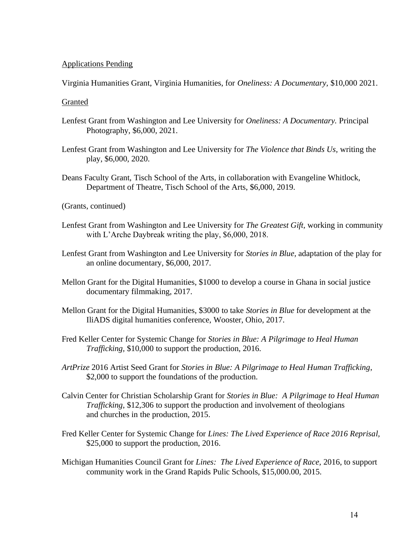## Applications Pending

Virginia Humanities Grant, Virginia Humanities, for *Oneliness: A Documentary,* \$10,000 2021.

## **Granted**

- Lenfest Grant from Washington and Lee University for *Oneliness: A Documentary.* Principal Photography, \$6,000, 2021.
- Lenfest Grant from Washington and Lee University for *The Violence that Binds Us,* writing the play, \$6,000, 2020.
- Deans Faculty Grant, Tisch School of the Arts, in collaboration with Evangeline Whitlock, Department of Theatre, Tisch School of the Arts, \$6,000, 2019.

(Grants, continued)

- Lenfest Grant from Washington and Lee University for *The Greatest Gift,* working in community with L'Arche Daybreak writing the play, \$6,000, 2018.
- Lenfest Grant from Washington and Lee University for *Stories in Blue,* adaptation of the play for an online documentary, \$6,000, 2017.
- Mellon Grant for the Digital Humanities, \$1000 to develop a course in Ghana in social justice documentary filmmaking, 2017.
- Mellon Grant for the Digital Humanities, \$3000 to take *Stories in Blue* for development at the IliADS digital humanities conference, Wooster, Ohio, 2017.
- Fred Keller Center for Systemic Change for *Stories in Blue: A Pilgrimage to Heal Human Trafficking,* \$10,000 to support the production, 2016.
- *ArtPrize* 2016 Artist Seed Grant for *Stories in Blue: A Pilgrimage to Heal Human Trafficking*, \$2,000 to support the foundations of the production.
- Calvin Center for Christian Scholarship Grant for *Stories in Blue: A Pilgrimage to Heal Human Trafficking*, \$12,306 to support the production and involvement of theologians and churches in the production, 2015.
- Fred Keller Center for Systemic Change for *Lines: The Lived Experience of Race 2016 Reprisal,*  \$25,000 to support the production, 2016.
- Michigan Humanities Council Grant for *Lines: The Lived Experience of Race,* 2016, to support community work in the Grand Rapids Pulic Schools, \$15,000.00, 2015.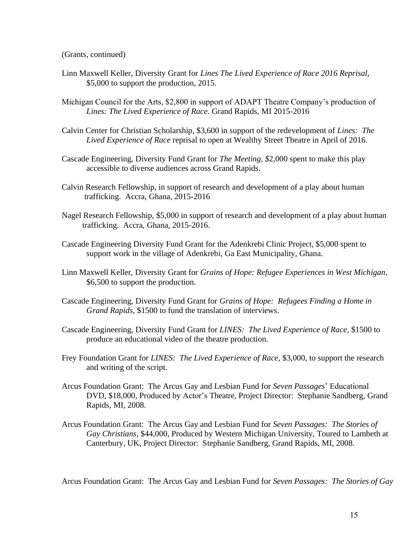(Grants, continued)

- Linn Maxwell Keller, Diversity Grant for *Lines The Lived Experience of Race 2016 Reprisal,*  \$5,000 to support the production, 2015.
- Michigan Council for the Arts, \$2,800 in support of ADAPT Theatre Company's production of *Lines: The Lived Experience of Race.* Grand Rapids, MI 2015-2016
- Calvin Center for Christian Scholarship, \$3,600 in support of the redevelopment of *Lines: The Lived Experience of Race* reprisal to open at Wealthy Street Theatre in April of 2016.
- Cascade Engineering, Diversity Fund Grant for *The Meeting, \$*2,000 spent to make this play accessible to diverse audiences across Grand Rapids.
- Calvin Research Fellowship, in support of research and development of a play about human trafficking. Accra, Ghana, 2015-2016
- Nagel Research Fellowship, \$5,000 in support of research and development of a play about human trafficking. Accra, Ghana, 2015-2016.
- Cascade Engineering Diversity Fund Grant for the Adenkrebi Clinic Project, \$5,000 spent to support work in the village of Adenkrebi, Ga East Municipality, Ghana.
- Linn Maxwell Keller, Diversity Grant for *Grains of Hope: Refugee Experiences in West Michigan,*  \$6,500 to support the production.
- Cascade Engineering, Diversity Fund Grant for *Grains of Hope: Refugees Finding a Home in Grand Rapids,* \$1500 to fund the translation of interviews.
- Cascade Engineering, Diversity Fund Grant for *LINES: The Lived Experience of Race*, \$1500 to produce an educational video of the theatre production.
- Frey Foundation Grant for *LINES: The Lived Experience of Race,* \$3,000, to support the research and writing of the script.
- Arcus Foundation Grant: The Arcus Gay and Lesbian Fund for *Seven Passages*' Educational DVD, \$18,000, Produced by Actor's Theatre, Project Director: Stephanie Sandberg, Grand Rapids, MI, 2008.
- Arcus Foundation Grant: The Arcus Gay and Lesbian Fund for *Seven Passages: The Stories of Gay Christians*, \$44,000, Produced by Western Michigan University, Toured to Lambeth at Canterbury, UK, Project Director: Stephanie Sandberg, Grand Rapids, MI, 2008.

Arcus Foundation Grant: The Arcus Gay and Lesbian Fund for *Seven Passages: The Stories of Gay*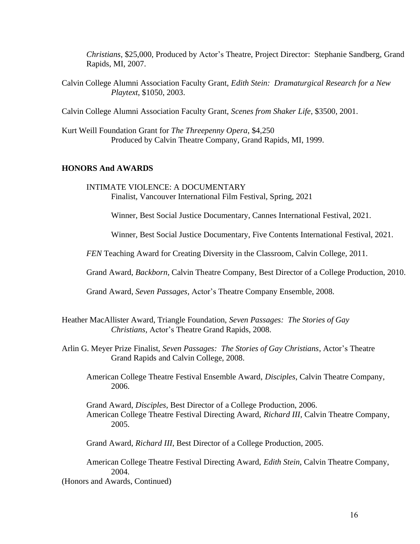*Christians*, \$25,000, Produced by Actor's Theatre, Project Director: Stephanie Sandberg, Grand Rapids, MI, 2007.

Calvin College Alumni Association Faculty Grant, *Edith Stein: Dramaturgical Research for a New Playtext*, \$1050, 2003.

Calvin College Alumni Association Faculty Grant, *Scenes from Shaker Life*, \$3500, 2001.

Kurt Weill Foundation Grant for *The Threepenny Opera*, \$4,250 Produced by Calvin Theatre Company, Grand Rapids, MI, 1999.

## **HONORS And AWARDS**

INTIMATE VIOLENCE: A DOCUMENTARY Finalist, Vancouver International Film Festival, Spring, 2021

Winner, Best Social Justice Documentary, Cannes International Festival, 2021.

Winner, Best Social Justice Documentary, Five Contents International Festival, 2021.

*FEN* Teaching Award for Creating Diversity in the Classroom, Calvin College, 2011.

Grand Award, *Backborn,* Calvin Theatre Company, Best Director of a College Production, 2010.

Grand Award, *Seven Passages*, Actor's Theatre Company Ensemble, 2008.

- Heather MacAllister Award, Triangle Foundation, *Seven Passages: The Stories of Gay Christians,* Actor's Theatre Grand Rapids, 2008.
- Arlin G. Meyer Prize Finalist, *Seven Passages: The Stories of Gay Christians*, Actor's Theatre Grand Rapids and Calvin College, 2008.
	- American College Theatre Festival Ensemble Award, *Disciples*, Calvin Theatre Company, 2006.
	- Grand Award, *Disciples*, Best Director of a College Production, 2006. American College Theatre Festival Directing Award, *Richard III,* Calvin Theatre Company, 2005.

Grand Award, *Richard III*, Best Director of a College Production, 2005.

American College Theatre Festival Directing Award, *Edith Stein*, Calvin Theatre Company, 2004.

(Honors and Awards, Continued)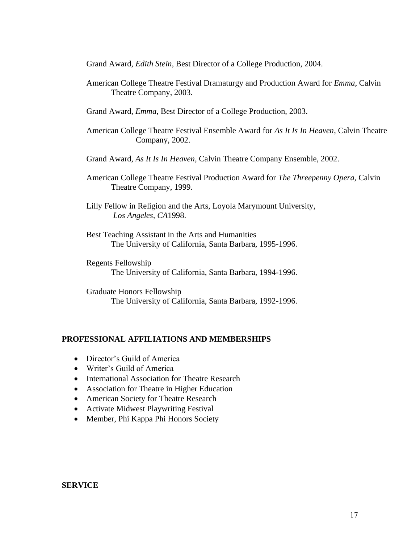Grand Award, *Edith Stein*, Best Director of a College Production, 2004.

- American College Theatre Festival Dramaturgy and Production Award for *Emma*, Calvin Theatre Company, 2003.
- Grand Award, *Emma*, Best Director of a College Production, 2003.
- American College Theatre Festival Ensemble Award for *As It Is In Heaven*, Calvin Theatre Company, 2002.
- Grand Award, *As It Is In Heaven*, Calvin Theatre Company Ensemble, 2002.
- American College Theatre Festival Production Award for *The Threepenny Opera,* Calvin Theatre Company, 1999.
- Lilly Fellow in Religion and the Arts, Loyola Marymount University*, Los Angeles, CA*1998.
- Best Teaching Assistant in the Arts and Humanities The University of California, Santa Barbara, 1995-1996.
- Regents Fellowship The University of California, Santa Barbara, 1994-1996.

Graduate Honors Fellowship The University of California, Santa Barbara, 1992-1996.

## **PROFESSIONAL AFFILIATIONS AND MEMBERSHIPS**

- Director's Guild of America
- Writer's Guild of America
- International Association for Theatre Research
- Association for Theatre in Higher Education
- American Society for Theatre Research
- Activate Midwest Playwriting Festival
- Member, Phi Kappa Phi Honors Society

#### **SERVICE**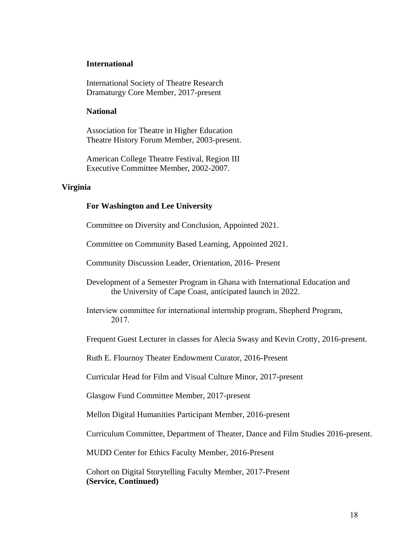#### **International**

International Society of Theatre Research Dramaturgy Core Member, 2017-present

#### **National**

Association for Theatre in Higher Education Theatre History Forum Member, 2003-present.

American College Theatre Festival, Region III Executive Committee Member, 2002-2007.

#### **Virginia**

#### **For Washington and Lee University**

Committee on Diversity and Conclusion, Appointed 2021.

Committee on Community Based Learning, Appointed 2021.

Community Discussion Leader, Orientation, 2016- Present

Development of a Semester Program in Ghana with International Education and the University of Cape Coast, anticipated launch in 2022.

Interview committee for international internship program, Shepherd Program, 2017.

Frequent Guest Lecturer in classes for Alecia Swasy and Kevin Crotty, 2016-present.

Ruth E. Flournoy Theater Endowment Curator, 2016-Present

Curricular Head for Film and Visual Culture Minor, 2017-present

Glasgow Fund Committee Member, 2017-present

Mellon Digital Humanities Participant Member, 2016-present

Curriculum Committee, Department of Theater, Dance and Film Studies 2016-present.

MUDD Center for Ethics Faculty Member, 2016-Present

Cohort on Digital Storytelling Faculty Member, 2017-Present **(Service, Continued)**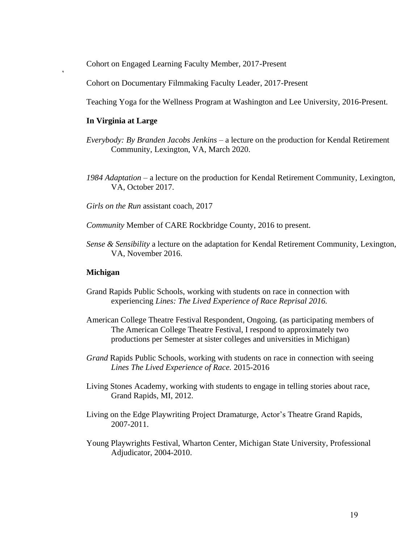Cohort on Engaged Learning Faculty Member, 2017-Present

Cohort on Documentary Filmmaking Faculty Leader, 2017-Present

Teaching Yoga for the Wellness Program at Washington and Lee University, 2016-Present.

## **In Virginia at Large**

 $\ddot{\phantom{0}}$ 

- *Everybody: By Branden Jacobs Jenkins* a lecture on the production for Kendal Retirement Community, Lexington, VA, March 2020.
- *1984 Adaptation*  a lecture on the production for Kendal Retirement Community, Lexington, VA, October 2017.
- *Girls on the Run* assistant coach, 2017

*Community* Member of CARE Rockbridge County, 2016 to present.

*Sense & Sensibility* a lecture on the adaptation for Kendal Retirement Community, Lexington, VA, November 2016.

## **Michigan**

- Grand Rapids Public Schools, working with students on race in connection with experiencing *Lines: The Lived Experience of Race Reprisal 2016.*
- American College Theatre Festival Respondent, Ongoing. (as participating members of The American College Theatre Festival, I respond to approximately two productions per Semester at sister colleges and universities in Michigan)
- *Grand* Rapids Public Schools, working with students on race in connection with seeing *Lines The Lived Experience of Race.* 2015-2016
- Living Stones Academy, working with students to engage in telling stories about race, Grand Rapids, MI, 2012.
- Living on the Edge Playwriting Project Dramaturge, Actor's Theatre Grand Rapids, 2007-2011.
- Young Playwrights Festival, Wharton Center, Michigan State University, Professional Adjudicator, 2004-2010.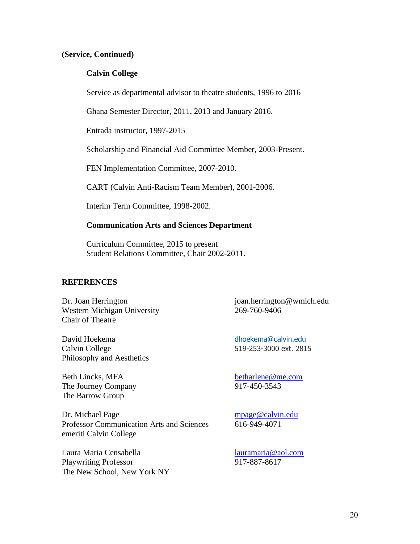## **(Service, Continued)**

## **Calvin College**

Service as departmental advisor to theatre students, 1996 to 2016

Ghana Semester Director, 2011, 2013 and January 2016.

Entrada instructor, 1997-2015

Scholarship and Financial Aid Committee Member, 2003-Present.

FEN Implementation Committee, 2007-2010.

CART (Calvin Anti-Racism Team Member), 2001-2006.

Interim Term Committee, 1998-2002.

## **Communication Arts and Sciences Department**

Curriculum Committee, 2015 to present Student Relations Committee, Chair 2002-2011.

## **REFERENCES**

Dr. Joan Herrington joan.herrington@wmich.edu Western Michigan University 269-760-9406 Chair of Theatre

David Hoekema [dhoekema@calvin.edu](mailto:David.Leugs@uwindsor.ca) Calvin College 519-253-3000 ext. 2815 Philosophy and Aesthetics

Beth Lincks, MFA<br>The Journey Company<br>
The Journey Company<br>  $917-450-3543$ The Journey Company The Barrow Group

Dr. Michael Page mpage @calvin.edu Professor Communication Arts and Sciences 616-949-4071 emeriti Calvin College

Laura Maria Censabella [lauramaria@aol.com](mailto:lauramaria@aol.com) Playwriting Professor 917-887-8617 The New School, New York NY